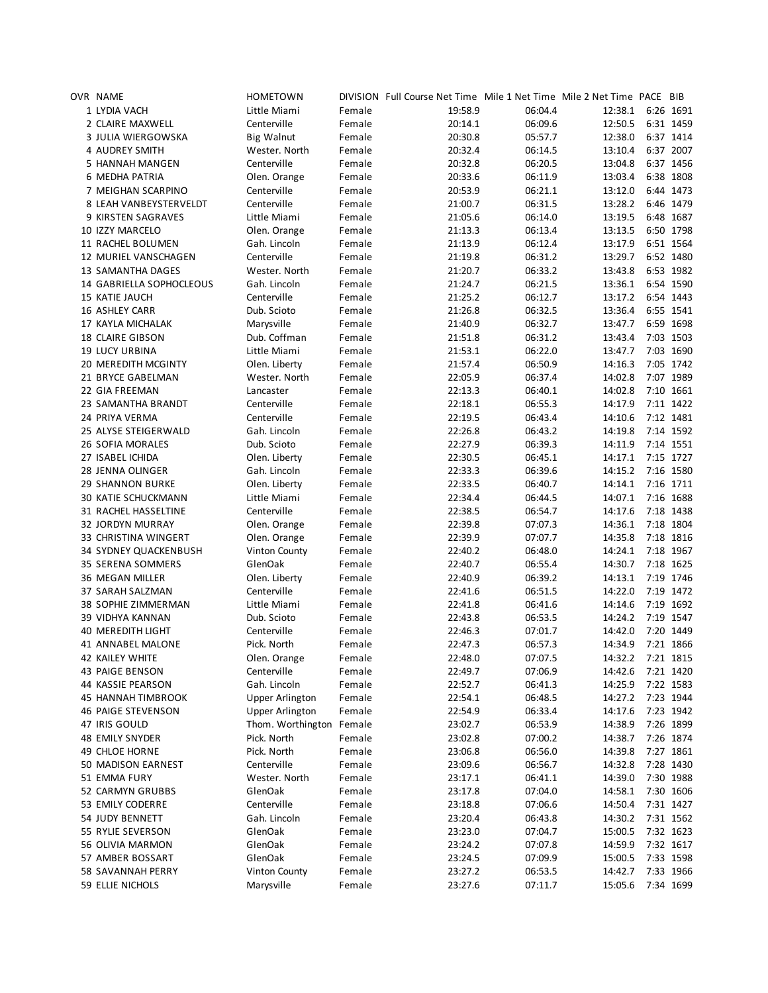| OVR NAME                   | <b>HOMETOWN</b>          |        | DIVISION Full Course Net Time Mile 1 Net Time Mile 2 Net Time PACE BIB |         |                    |           |
|----------------------------|--------------------------|--------|------------------------------------------------------------------------|---------|--------------------|-----------|
| 1 LYDIA VACH               | Little Miami             | Female | 19:58.9                                                                | 06:04.4 | 12:38.1            | 6:26 1691 |
| 2 CLAIRE MAXWELL           | Centerville              | Female | 20:14.1                                                                | 06:09.6 | 12:50.5            | 6:31 1459 |
| 3 JULIA WIERGOWSKA         | <b>Big Walnut</b>        | Female | 20:30.8                                                                | 05:57.7 | 12:38.0            | 6:37 1414 |
| 4 AUDREY SMITH             | Wester. North            | Female | 20:32.4                                                                | 06:14.5 | 13:10.4            | 6:37 2007 |
| 5 HANNAH MANGEN            | Centerville              | Female | 20:32.8                                                                | 06:20.5 | 13:04.8            | 6:37 1456 |
| 6 MEDHA PATRIA             | Olen. Orange             | Female | 20:33.6                                                                | 06:11.9 | 13:03.4            | 6:38 1808 |
| 7 MEIGHAN SCARPINO         | Centerville              | Female | 20:53.9                                                                | 06:21.1 | 13:12.0            | 6:44 1473 |
| 8 LEAH VANBEYSTERVELDT     | Centerville              | Female | 21:00.7                                                                | 06:31.5 | 13:28.2            | 6:46 1479 |
| 9 KIRSTEN SAGRAVES         |                          | Female | 21:05.6                                                                | 06:14.0 | 13:19.5            | 6:48 1687 |
| 10 IZZY MARCELO            | Little Miami             | Female |                                                                        | 06:13.4 |                    |           |
|                            | Olen. Orange             |        | 21:13.3                                                                |         | 13:13.5<br>13:17.9 | 6:50 1798 |
| 11 RACHEL BOLUMEN          | Gah. Lincoln             | Female | 21:13.9                                                                | 06:12.4 |                    | 6:51 1564 |
| 12 MURIEL VANSCHAGEN       | Centerville              | Female | 21:19.8                                                                | 06:31.2 | 13:29.7            | 6:52 1480 |
| 13 SAMANTHA DAGES          | Wester. North            | Female | 21:20.7                                                                | 06:33.2 | 13:43.8            | 6:53 1982 |
| 14 GABRIELLA SOPHOCLEOUS   | Gah. Lincoln             | Female | 21:24.7                                                                | 06:21.5 | 13:36.1            | 6:54 1590 |
| 15 KATIE JAUCH             | Centerville              | Female | 21:25.2                                                                | 06:12.7 | 13:17.2            | 6:54 1443 |
| 16 ASHLEY CARR             | Dub. Scioto              | Female | 21:26.8                                                                | 06:32.5 | 13:36.4            | 6:55 1541 |
| 17 KAYLA MICHALAK          | Marysville               | Female | 21:40.9                                                                | 06:32.7 | 13:47.7            | 6:59 1698 |
| <b>18 CLAIRE GIBSON</b>    | Dub. Coffman             | Female | 21:51.8                                                                | 06:31.2 | 13:43.4            | 7:03 1503 |
| <b>19 LUCY URBINA</b>      | Little Miami             | Female | 21:53.1                                                                | 06:22.0 | 13:47.7            | 7:03 1690 |
| 20 MEREDITH MCGINTY        | Olen. Liberty            | Female | 21:57.4                                                                | 06:50.9 | 14:16.3            | 7:05 1742 |
| 21 BRYCE GABELMAN          | Wester. North            | Female | 22:05.9                                                                | 06:37.4 | 14:02.8            | 7:07 1989 |
| 22 GIA FREEMAN             | Lancaster                | Female | 22:13.3                                                                | 06:40.1 | 14:02.8            | 7:10 1661 |
| 23 SAMANTHA BRANDT         | Centerville              | Female | 22:18.1                                                                | 06:55.3 | 14:17.9            | 7:11 1422 |
| 24 PRIYA VERMA             | Centerville              | Female | 22:19.5                                                                | 06:43.4 | 14:10.6            | 7:12 1481 |
| 25 ALYSE STEIGERWALD       | Gah. Lincoln             | Female | 22:26.8                                                                | 06:43.2 | 14:19.8            | 7:14 1592 |
| 26 SOFIA MORALES           | Dub. Scioto              | Female | 22:27.9                                                                | 06:39.3 | 14:11.9            | 7:14 1551 |
| 27 ISABEL ICHIDA           | Olen. Liberty            | Female | 22:30.5                                                                | 06:45.1 | 14:17.1            | 7:15 1727 |
| 28 JENNA OLINGER           | Gah. Lincoln             | Female | 22:33.3                                                                | 06:39.6 | 14:15.2            | 7:16 1580 |
| <b>29 SHANNON BURKE</b>    | Olen. Liberty            | Female | 22:33.5                                                                | 06:40.7 | 14:14.1            | 7:16 1711 |
| <b>30 KATIE SCHUCKMANN</b> | Little Miami             | Female | 22:34.4                                                                | 06:44.5 | 14:07.1            | 7:16 1688 |
| 31 RACHEL HASSELTINE       | Centerville              | Female | 22:38.5                                                                | 06:54.7 | 14:17.6            | 7:18 1438 |
| <b>32 JORDYN MURRAY</b>    |                          | Female | 22:39.8                                                                | 07:07.3 | 14:36.1            | 7:18 1804 |
| 33 CHRISTINA WINGERT       | Olen. Orange             |        |                                                                        | 07:07.7 | 14:35.8            | 7:18 1816 |
|                            | Olen. Orange             | Female | 22:39.9                                                                |         |                    |           |
| 34 SYDNEY QUACKENBUSH      | <b>Vinton County</b>     | Female | 22:40.2                                                                | 06:48.0 | 14:24.1            | 7:18 1967 |
| 35 SERENA SOMMERS          | GlenOak                  | Female | 22:40.7                                                                | 06:55.4 | 14:30.7            | 7:18 1625 |
| 36 MEGAN MILLER            | Olen. Liberty            | Female | 22:40.9                                                                | 06:39.2 | 14:13.1            | 7:19 1746 |
| 37 SARAH SALZMAN           | Centerville              | Female | 22:41.6                                                                | 06:51.5 | 14:22.0            | 7:19 1472 |
| 38 SOPHIE ZIMMERMAN        | Little Miami             | Female | 22:41.8                                                                | 06:41.6 | 14:14.6            | 7:19 1692 |
| 39 VIDHYA KANNAN           | Dub. Scioto              | Female | 22:43.8                                                                | 06:53.5 | 14:24.2            | 7:19 1547 |
| <b>40 MEREDITH LIGHT</b>   | Centerville              | Female | 22:46.3                                                                | 07:01.7 | 14:42.0            | 7:20 1449 |
| 41 ANNABEL MALONE          | Pick. North              | Female | 22:47.3                                                                | 06:57.3 | 14:34.9            | 7:21 1866 |
| 42 KAILEY WHITE            | Olen. Orange             | Female | 22:48.0                                                                | 07:07.5 | 14:32.2            | 7:21 1815 |
| 43 PAIGE BENSON            | Centerville              | Female | 22:49.7                                                                | 07:06.9 | 14:42.6            | 7:21 1420 |
| 44 KASSIE PEARSON          | Gah. Lincoln             | Female | 22:52.7                                                                | 06:41.3 | 14:25.9            | 7:22 1583 |
| <b>45 HANNAH TIMBROOK</b>  | <b>Upper Arlington</b>   | Female | 22:54.1                                                                | 06:48.5 | 14:27.2            | 7:23 1944 |
| 46 PAIGE STEVENSON         | Upper Arlington          | Female | 22:54.9                                                                | 06:33.4 | 14:17.6            | 7:23 1942 |
| 47 IRIS GOULD              | Thom. Worthington Female |        | 23:02.7                                                                | 06:53.9 | 14:38.9            | 7:26 1899 |
| <b>48 EMILY SNYDER</b>     | Pick. North              | Female | 23:02.8                                                                | 07:00.2 | 14:38.7            | 7:26 1874 |
| 49 CHLOE HORNE             | Pick. North              | Female | 23:06.8                                                                | 06:56.0 | 14:39.8            | 7:27 1861 |
| 50 MADISON EARNEST         | Centerville              | Female | 23:09.6                                                                | 06:56.7 | 14:32.8            | 7:28 1430 |
| 51 EMMA FURY               | Wester. North            | Female | 23:17.1                                                                | 06:41.1 | 14:39.0            | 7:30 1988 |
| 52 CARMYN GRUBBS           | GlenOak                  | Female | 23:17.8                                                                | 07:04.0 | 14:58.1            | 7:30 1606 |
| 53 EMILY CODERRE           | Centerville              | Female | 23:18.8                                                                | 07:06.6 | 14:50.4            | 7:31 1427 |
| 54 JUDY BENNETT            | Gah. Lincoln             | Female | 23:20.4                                                                | 06:43.8 | 14:30.2            | 7:31 1562 |
| 55 RYLIE SEVERSON          | GlenOak                  | Female | 23:23.0                                                                | 07:04.7 | 15:00.5            | 7:32 1623 |
|                            |                          |        |                                                                        |         |                    |           |
| 56 OLIVIA MARMON           | GlenOak                  | Female | 23:24.2                                                                | 07:07.8 | 14:59.9            | 7:32 1617 |
| 57 AMBER BOSSART           | GlenOak                  | Female | 23:24.5                                                                | 07:09.9 | 15:00.5            | 7:33 1598 |
| 58 SAVANNAH PERRY          | Vinton County            | Female | 23:27.2                                                                | 06:53.5 | 14:42.7            | 7:33 1966 |
| 59 ELLIE NICHOLS           | Marysville               | Female | 23:27.6                                                                | 07:11.7 | 15:05.6            | 7:34 1699 |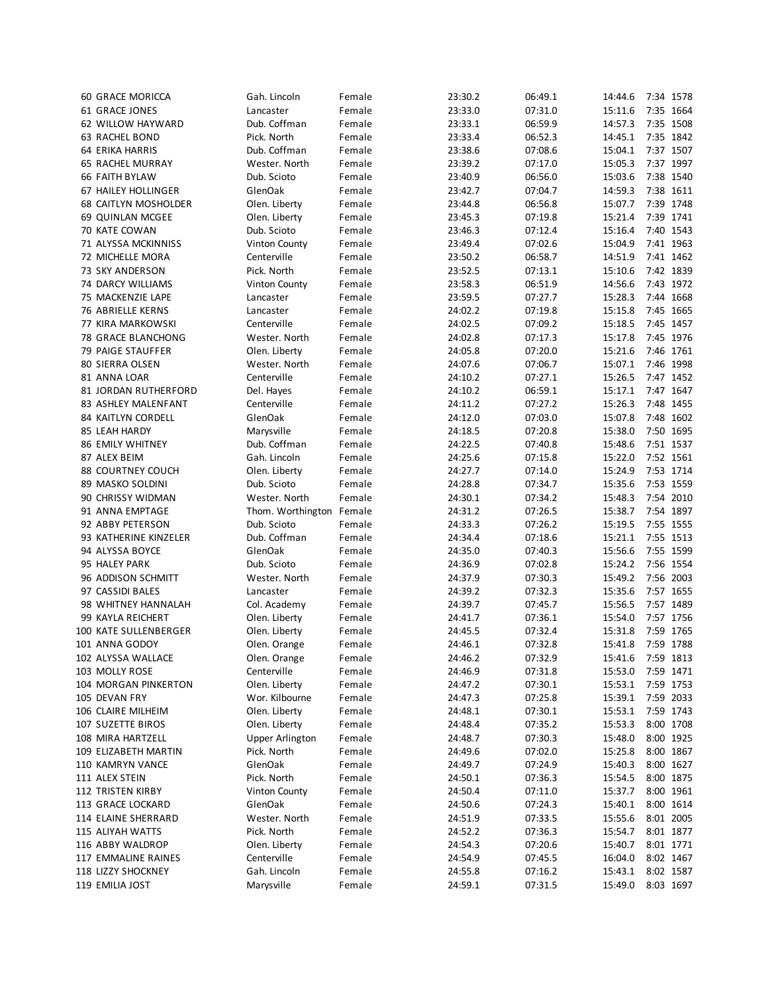| 60 GRACE MORICCA          | Gah. Lincoln             | Female | 23:30.2 | 06:49.1 | 14:44.6 | 7:34 1578 |  |
|---------------------------|--------------------------|--------|---------|---------|---------|-----------|--|
| 61 GRACE JONES            | Lancaster                | Female | 23:33.0 | 07:31.0 | 15:11.6 | 7:35 1664 |  |
| 62 WILLOW HAYWARD         | Dub. Coffman             | Female | 23:33.1 | 06:59.9 | 14:57.3 | 7:35 1508 |  |
| 63 RACHEL BOND            | Pick. North              | Female | 23:33.4 | 06:52.3 | 14:45.1 | 7:35 1842 |  |
| 64 ERIKA HARRIS           | Dub. Coffman             | Female | 23:38.6 | 07:08.6 | 15:04.1 | 7:37 1507 |  |
| <b>65 RACHEL MURRAY</b>   | Wester. North            | Female | 23:39.2 | 07:17.0 | 15:05.3 | 7:37 1997 |  |
| 66 FAITH BYLAW            | Dub. Scioto              | Female | 23:40.9 | 06:56.0 | 15:03.6 | 7:38 1540 |  |
| 67 HAILEY HOLLINGER       | GlenOak                  | Female | 23:42.7 | 07:04.7 | 14:59.3 | 7:38 1611 |  |
|                           |                          |        |         |         | 15:07.7 | 7:39 1748 |  |
| 68 CAITLYN MOSHOLDER      | Olen. Liberty            | Female | 23:44.8 | 06:56.8 |         |           |  |
| 69 QUINLAN MCGEE          | Olen. Liberty            | Female | 23:45.3 | 07:19.8 | 15:21.4 | 7:39 1741 |  |
| 70 KATE COWAN             | Dub. Scioto              | Female | 23:46.3 | 07:12.4 | 15:16.4 | 7:40 1543 |  |
| 71 ALYSSA MCKINNISS       | <b>Vinton County</b>     | Female | 23:49.4 | 07:02.6 | 15:04.9 | 7:41 1963 |  |
| 72 MICHELLE MORA          | Centerville              | Female | 23:50.2 | 06:58.7 | 14:51.9 | 7:41 1462 |  |
| 73 SKY ANDERSON           | Pick. North              | Female | 23:52.5 | 07:13.1 | 15:10.6 | 7:42 1839 |  |
| 74 DARCY WILLIAMS         | <b>Vinton County</b>     | Female | 23:58.3 | 06:51.9 | 14:56.6 | 7:43 1972 |  |
| 75 MACKENZIE LAPE         | Lancaster                | Female | 23:59.5 | 07:27.7 | 15:28.3 | 7:44 1668 |  |
| 76 ABRIELLE KERNS         | Lancaster                | Female | 24:02.2 | 07:19.8 | 15:15.8 | 7:45 1665 |  |
| 77 KIRA MARKOWSKI         | Centerville              | Female | 24:02.5 | 07:09.2 | 15:18.5 | 7:45 1457 |  |
| 78 GRACE BLANCHONG        | Wester. North            | Female | 24:02.8 | 07:17.3 | 15:17.8 | 7:45 1976 |  |
| 79 PAIGE STAUFFER         | Olen. Liberty            | Female | 24:05.8 | 07:20.0 | 15:21.6 | 7:46 1761 |  |
| 80 SIERRA OLSEN           | Wester. North            | Female | 24:07.6 | 07:06.7 | 15:07.1 | 7:46 1998 |  |
|                           | Centerville              |        |         |         | 15:26.5 | 7:47 1452 |  |
| 81 ANNA LOAR              |                          | Female | 24:10.2 | 07:27.1 |         |           |  |
| 81 JORDAN RUTHERFORD      | Del. Hayes               | Female | 24:10.2 | 06:59.1 | 15:17.1 | 7:47 1647 |  |
| 83 ASHLEY MALENFANT       | Centerville              | Female | 24:11.2 | 07:27.2 | 15:26.3 | 7:48 1455 |  |
| <b>84 KAITLYN CORDELL</b> | GlenOak                  | Female | 24:12.0 | 07:03.0 | 15:07.8 | 7:48 1602 |  |
| 85 LEAH HARDY             | Marysville               | Female | 24:18.5 | 07:20.8 | 15:38.0 | 7:50 1695 |  |
| <b>86 EMILY WHITNEY</b>   | Dub. Coffman             | Female | 24:22.5 | 07:40.8 | 15:48.6 | 7:51 1537 |  |
| 87 ALEX BEIM              | Gah. Lincoln             | Female | 24:25.6 | 07:15.8 | 15:22.0 | 7:52 1561 |  |
| 88 COURTNEY COUCH         | Olen. Liberty            | Female | 24:27.7 | 07:14.0 | 15:24.9 | 7:53 1714 |  |
| 89 MASKO SOLDINI          | Dub. Scioto              | Female | 24:28.8 | 07:34.7 | 15:35.6 | 7:53 1559 |  |
| 90 CHRISSY WIDMAN         | Wester. North            | Female | 24:30.1 | 07:34.2 | 15:48.3 | 7:54 2010 |  |
| 91 ANNA EMPTAGE           | Thom. Worthington Female |        | 24:31.2 | 07:26.5 | 15:38.7 | 7:54 1897 |  |
| 92 ABBY PETERSON          | Dub. Scioto              | Female | 24:33.3 | 07:26.2 | 15:19.5 | 7:55 1555 |  |
| 93 KATHERINE KINZELER     | Dub. Coffman             | Female | 24:34.4 | 07:18.6 | 15:21.1 | 7:55 1513 |  |
| 94 ALYSSA BOYCE           | GlenOak                  | Female | 24:35.0 | 07:40.3 | 15:56.6 | 7:55 1599 |  |
| 95 HALEY PARK             |                          | Female |         | 07:02.8 | 15:24.2 | 7:56 1554 |  |
|                           | Dub. Scioto              |        | 24:36.9 |         |         | 7:56 2003 |  |
| 96 ADDISON SCHMITT        | Wester. North            | Female | 24:37.9 | 07:30.3 | 15:49.2 |           |  |
| 97 CASSIDI BALES          | Lancaster                | Female | 24:39.2 | 07:32.3 | 15:35.6 | 7:57 1655 |  |
| 98 WHITNEY HANNALAH       | Col. Academy             | Female | 24:39.7 | 07:45.7 | 15:56.5 | 7:57 1489 |  |
| 99 KAYLA REICHERT         | Olen. Liberty            | Female | 24:41.7 | 07:36.1 | 15:54.0 | 7:57 1756 |  |
| 100 KATE SULLENBERGER     | Olen. Liberty            | Female | 24:45.5 | 07:32.4 | 15:31.8 | 7:59 1765 |  |
| 101 ANNA GODOY            | Olen. Orange             | Female | 24:46.1 | 07:32.8 | 15:41.8 | 7:59 1788 |  |
| 102 ALYSSA WALLACE        | Olen. Orange             | Female | 24:46.2 | 07:32.9 | 15:41.6 | 7:59 1813 |  |
| 103 MOLLY ROSE            | Centerville              | Female | 24:46.9 | 07:31.8 | 15:53.0 | 7:59 1471 |  |
| 104 MORGAN PINKERTON      | Olen. Liberty            | Female | 24:47.2 | 07:30.1 | 15:53.1 | 7:59 1753 |  |
| 105 DEVAN FRY             | Wor. Kilbourne           | Female | 24:47.3 | 07:25.8 | 15:39.1 | 7:59 2033 |  |
| 106 CLAIRE MILHEIM        | Olen. Liberty            | Female | 24:48.1 | 07:30.1 | 15:53.1 | 7:59 1743 |  |
| <b>107 SUZETTE BIROS</b>  | Olen. Liberty            | Female | 24:48.4 | 07:35.2 | 15:53.3 | 8:00 1708 |  |
| 108 MIRA HARTZELL         | <b>Upper Arlington</b>   | Female | 24:48.7 | 07:30.3 | 15:48.0 | 8:00 1925 |  |
| 109 ELIZABETH MARTIN      | Pick. North              | Female | 24:49.6 | 07:02.0 | 15:25.8 | 8:00 1867 |  |
| 110 KAMRYN VANCE          | GlenOak                  | Female | 24:49.7 | 07:24.9 | 15:40.3 | 8:00 1627 |  |
| 111 ALEX STEIN            |                          |        |         |         |         |           |  |
|                           | Pick. North              | Female | 24:50.1 | 07:36.3 | 15:54.5 | 8:00 1875 |  |
| <b>112 TRISTEN KIRBY</b>  | Vinton County            | Female | 24:50.4 | 07:11.0 | 15:37.7 | 8:00 1961 |  |
| 113 GRACE LOCKARD         | GlenOak                  | Female | 24:50.6 | 07:24.3 | 15:40.1 | 8:00 1614 |  |
| 114 ELAINE SHERRARD       | Wester. North            | Female | 24:51.9 | 07:33.5 | 15:55.6 | 8:01 2005 |  |
| 115 ALIYAH WATTS          | Pick. North              | Female | 24:52.2 | 07:36.3 | 15:54.7 | 8:01 1877 |  |
| 116 ABBY WALDROP          | Olen. Liberty            | Female | 24:54.3 | 07:20.6 | 15:40.7 | 8:01 1771 |  |
| 117 EMMALINE RAINES       | Centerville              | Female | 24:54.9 | 07:45.5 | 16:04.0 | 8:02 1467 |  |
| 118 LIZZY SHOCKNEY        | Gah. Lincoln             | Female | 24:55.8 | 07:16.2 | 15:43.1 | 8:02 1587 |  |
| 119 EMILIA JOST           | Marysville               | Female | 24:59.1 | 07:31.5 | 15:49.0 | 8:03 1697 |  |
|                           |                          |        |         |         |         |           |  |